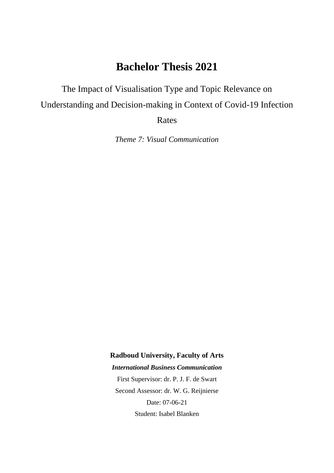# **Bachelor Thesis 2021**

The Impact of Visualisation Type and Topic Relevance on Understanding and Decision-making in Context of Covid-19 Infection

Rates

*Theme 7: Visual Communication*

**Radboud University, Faculty of Arts**

*International Business Communication*

First Supervisor: dr. P. J. F. de Swart Second Assessor: dr. W. G. Reijnierse Date: 07-06-21 Student: Isabel Blanken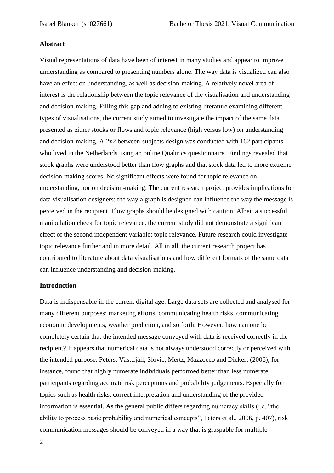#### **Abstract**

Visual representations of data have been of interest in many studies and appear to improve understanding as compared to presenting numbers alone. The way data is visualized can also have an effect on understanding, as well as decision-making. A relatively novel area of interest is the relationship between the topic relevance of the visualisation and understanding and decision-making. Filling this gap and adding to existing literature examining different types of visualisations, the current study aimed to investigate the impact of the same data presented as either stocks or flows and topic relevance (high versus low) on understanding and decision-making. A 2x2 between-subjects design was conducted with 162 participants who lived in the Netherlands using an online Qualtrics questionnaire. Findings revealed that stock graphs were understood better than flow graphs and that stock data led to more extreme decision-making scores. No significant effects were found for topic relevance on understanding, nor on decision-making. The current research project provides implications for data visualisation designers: the way a graph is designed can influence the way the message is perceived in the recipient. Flow graphs should be designed with caution. Albeit a successful manipulation check for topic relevance, the current study did not demonstrate a significant effect of the second independent variable: topic relevance. Future research could investigate topic relevance further and in more detail. All in all, the current research project has contributed to literature about data visualisations and how different formats of the same data can influence understanding and decision-making.

#### **Introduction**

Data is indispensable in the current digital age. Large data sets are collected and analysed for many different purposes: marketing efforts, communicating health risks, communicating economic developments, weather prediction, and so forth. However, how can one be completely certain that the intended message conveyed with data is received correctly in the recipient? It appears that numerical data is not always understood correctly or perceived with the intended purpose. Peters, Västtfjäll, Slovic, Mertz, Mazzocco and Dickert (2006), for instance, found that highly numerate individuals performed better than less numerate participants regarding accurate risk perceptions and probability judgements. Especially for topics such as health risks, correct interpretation and understanding of the provided information is essential. As the general public differs regarding numeracy skills (i.e. "the ability to process basic probability and numerical concepts", Peters et al., 2006, p. 407), risk communication messages should be conveyed in a way that is graspable for multiple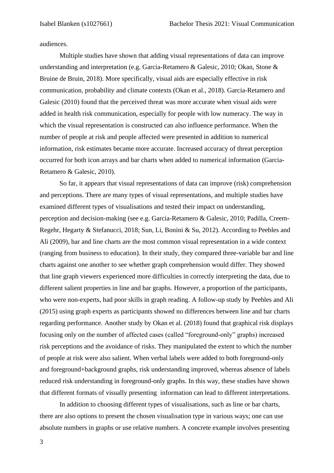audiences.

Multiple studies have shown that adding visual representations of data can improve understanding and interpretation (e.g. Garcia-Retamero & Galesic, 2010; Okan, Stone & Bruine de Bruin, 2018). More specifically, visual aids are especially effective in risk communication, probability and climate contexts (Okan et al., 2018). Garcia-Retamero and Galesic (2010) found that the perceived threat was more accurate when visual aids were added in health risk communication, especially for people with low numeracy. The way in which the visual representation is constructed can also influence performance. When the number of people at risk and people affected were presented in addition to numerical information, risk estimates became more accurate. Increased accuracy of threat perception occurred for both icon arrays and bar charts when added to numerical information (Garcia-Retamero & Galesic, 2010).

So far, it appears that visual representations of data can improve (risk) comprehension and perceptions. There are many types of visual representations, and multiple studies have examined different types of visualisations and tested their impact on understanding, perception and decision-making (see e.g. Garcia-Retamero & Galesic, 2010; Padilla, Creem-Regehr, Hegarty & Stefanucci, 2018; Sun, Li, Bonini & Su, 2012). According to Peebles and Ali (2009), bar and line charts are the most common visual representation in a wide context (ranging from business to education). In their study, they compared three-variable bar and line charts against one another to see whether graph comprehension would differ. They showed that line graph viewers experienced more difficulties in correctly interpreting the data, due to different salient properties in line and bar graphs. However, a proportion of the participants, who were non-experts, had poor skills in graph reading. A follow-up study by Peebles and Ali (2015) using graph experts as participants showed no differences between line and bar charts regarding performance. Another study by Okan et al. (2018) found that graphical risk displays focusing only on the number of affected cases (called "foreground-only" graphs) increased risk perceptions and the avoidance of risks. They manipulated the extent to which the number of people at risk were also salient. When verbal labels were added to both foreground-only and foreground+background graphs, risk understanding improved, whereas absence of labels reduced risk understanding in foreground-only graphs. In this way, these studies have shown that different formats of visually presenting information can lead to different interpretations.

In addition to choosing different types of visualisations, such as line or bar charts, there are also options to present the chosen visualisation type in various ways; one can use absolute numbers in graphs or use relative numbers. A concrete example involves presenting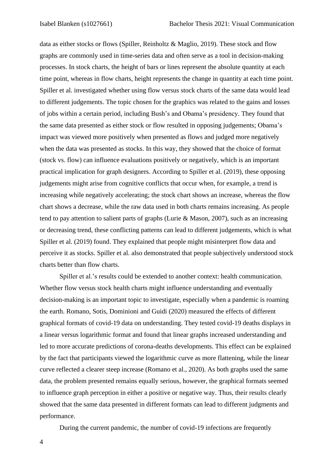data as either stocks or flows (Spiller, Reinholtz & Maglio, 2019). These stock and flow graphs are commonly used in time-series data and often serve as a tool in decision-making processes. In stock charts, the height of bars or lines represent the absolute quantity at each time point, whereas in flow charts, height represents the change in quantity at each time point. Spiller et al. investigated whether using flow versus stock charts of the same data would lead to different judgements. The topic chosen for the graphics was related to the gains and losses of jobs within a certain period, including Bush's and Obama's presidency. They found that the same data presented as either stock or flow resulted in opposing judgements; Obama's impact was viewed more positively when presented as flows and judged more negatively when the data was presented as stocks. In this way, they showed that the choice of format (stock vs. flow) can influence evaluations positively or negatively, which is an important practical implication for graph designers. According to Spiller et al. (2019), these opposing judgements might arise from cognitive conflicts that occur when, for example, a trend is increasing while negatively accelerating; the stock chart shows an increase, whereas the flow chart shows a decrease, while the raw data used in both charts remains increasing. As people tend to pay attention to salient parts of graphs (Lurie & Mason, 2007), such as an increasing or decreasing trend, these conflicting patterns can lead to different judgements, which is what Spiller et al. (2019) found. They explained that people might misinterpret flow data and perceive it as stocks. Spiller et al. also demonstrated that people subjectively understood stock charts better than flow charts.

Spiller et al.'s results could be extended to another context: health communication. Whether flow versus stock health charts might influence understanding and eventually decision-making is an important topic to investigate, especially when a pandemic is roaming the earth. Romano, Sotis, Dominioni and Guidi (2020) measured the effects of different graphical formats of covid-19 data on understanding. They tested covid-19 deaths displays in a linear versus logarithmic format and found that linear graphs increased understanding and led to more accurate predictions of corona-deaths developments. This effect can be explained by the fact that participants viewed the logarithmic curve as more flattening, while the linear curve reflected a clearer steep increase (Romano et al., 2020). As both graphs used the same data, the problem presented remains equally serious, however, the graphical formats seemed to influence graph perception in either a positive or negative way. Thus, their results clearly showed that the same data presented in different formats can lead to different judgments and performance.

During the current pandemic, the number of covid-19 infections are frequently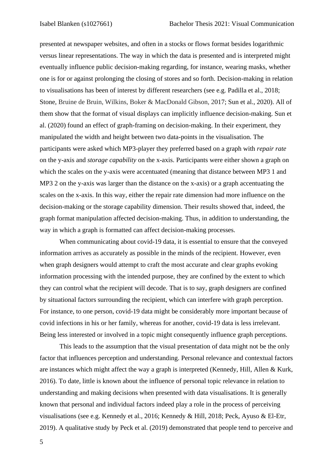presented at newspaper websites, and often in a stocks or flows format besides logarithmic versus linear representations. The way in which the data is presented and is interpreted might eventually influence public decision-making regarding, for instance, wearing masks, whether one is for or against prolonging the closing of stores and so forth. Decision-making in relation to visualisations has been of interest by different researchers (see e.g. Padilla et al., 2018; Stone, Bruine de Bruin, Wilkins, Boker & MacDonald Gibson, 2017; Sun et al., 2020). All of them show that the format of visual displays can implicitly influence decision-making. Sun et al. (2020) found an effect of graph-framing on decision-making. In their experiment, they manipulated the width and height between two data-points in the visualisation. The participants were asked which MP3-player they preferred based on a graph with *repair rate* on the y-axis and *storage capability* on the x-axis. Participants were either shown a graph on which the scales on the y-axis were accentuated (meaning that distance between MP3 1 and MP3 2 on the y-axis was larger than the distance on the x-axis) or a graph accentuating the scales on the x-axis. In this way, either the repair rate dimension had more influence on the decision-making or the storage capability dimension. Their results showed that, indeed, the graph format manipulation affected decision-making. Thus, in addition to understanding, the way in which a graph is formatted can affect decision-making processes.

When communicating about covid-19 data, it is essential to ensure that the conveyed information arrives as accurately as possible in the minds of the recipient. However, even when graph designers would attempt to craft the most accurate and clear graphs evoking information processing with the intended purpose, they are confined by the extent to which they can control what the recipient will decode. That is to say, graph designers are confined by situational factors surrounding the recipient, which can interfere with graph perception. For instance, to one person, covid-19 data might be considerably more important because of covid infections in his or her family, whereas for another, covid-19 data is less irrelevant. Being less interested or involved in a topic might consequently influence graph perceptions.

This leads to the assumption that the visual presentation of data might not be the only factor that influences perception and understanding. Personal relevance and contextual factors are instances which might affect the way a graph is interpreted (Kennedy, Hill, Allen & Kurk, 2016). To date, little is known about the influence of personal topic relevance in relation to understanding and making decisions when presented with data visualisations. It is generally known that personal and individual factors indeed play a role in the process of perceiving visualisations (see e.g. Kennedy et al., 2016; Kennedy & Hill, 2018; Peck, Ayuso & El-Etr, 2019). A qualitative study by Peck et al. (2019) demonstrated that people tend to perceive and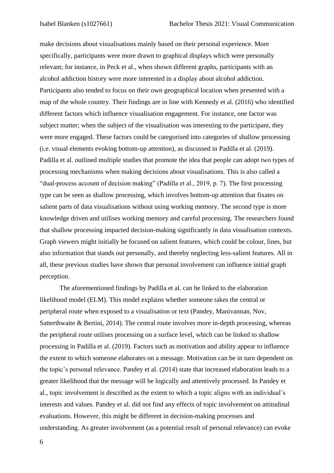make decisions about visualisations mainly based on their personal experience. More specifically, participants were more drawn to graphical displays which were personally relevant; for instance, in Peck et al., when shown different graphs, participants with an alcohol addiction history were more interested in a display about alcohol addiction. Participants also tended to focus on their own geographical location when presented with a map of the whole country. Their findings are in line with Kennedy et al. (2016) who identified different factors which influence visualisation engagement. For instance, one factor was subject matter; when the subject of the visualisation was interesting to the participant, they were more engaged. These factors could be categorised into categories of shallow processing (i.e. visual elements evoking bottom-up attention), as discussed in Padilla et al. (2019). Padilla et al. outlined multiple studies that promote the idea that people can adopt two types of processing mechanisms when making decisions about visualisations. This is also called a "dual-process account of decision making" (Padilla et al., 2019, p. 7). The first processing type can be seen as shallow processing, which involves bottom-up attention that fixates on salient parts of data visualisations without using working memory. The second type is more knowledge driven and utilises working memory and careful processing. The researchers found that shallow processing impacted decision-making significantly in data visualisation contexts. Graph viewers might initially be focused on salient features, which could be colour, lines, but also information that stands out personally, and thereby neglecting less-salient features. All in all, these previous studies have shown that personal involvement can influence initial graph perception.

The aforementioned findings by Padilla et al. can be linked to the elaboration likelihood model (ELM). This model explains whether someone takes the central or peripheral route when exposed to a visualisation or text (Pandey, Manivannan, Nov, Satterthwaite & Bertini, 2014). The central route involves more in-depth processing, whereas the peripheral route utilises processing on a surface level, which can be linked to shallow processing in Padilla et al. (2019). Factors such as motivation and ability appear to influence the extent to which someone elaborates on a message. Motivation can be in turn dependent on the topic's personal relevance. Pandey et al. (2014) state that increased elaboration leads to a greater likelihood that the message will be logically and attentively processed. In Pandey et al., topic involvement is described as the extent to which a topic aligns with an individual's interests and values. Pandey et al. did not find any effects of topic involvement on attitudinal evaluations. However, this might be different in decision-making processes and understanding. As greater involvement (as a potential result of personal relevance) can evoke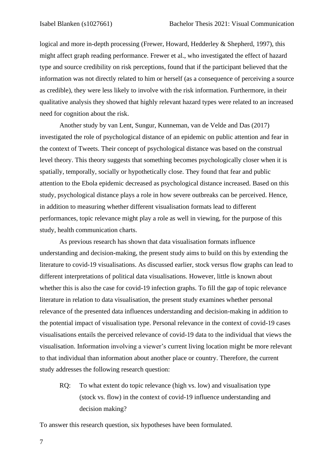logical and more in-depth processing (Frewer, Howard, Hedderley & Shepherd, 1997), this might affect graph reading performance. Frewer et al., who investigated the effect of hazard type and source credibility on risk perceptions, found that if the participant believed that the information was not directly related to him or herself (as a consequence of perceiving a source as credible), they were less likely to involve with the risk information. Furthermore, in their qualitative analysis they showed that highly relevant hazard types were related to an increased need for cognition about the risk.

Another study by van Lent, Sungur, Kunneman, van de Velde and Das (2017) investigated the role of psychological distance of an epidemic on public attention and fear in the context of Tweets. Their concept of psychological distance was based on the construal level theory. This theory suggests that something becomes psychologically closer when it is spatially, temporally, socially or hypothetically close. They found that fear and public attention to the Ebola epidemic decreased as psychological distance increased. Based on this study, psychological distance plays a role in how severe outbreaks can be perceived. Hence, in addition to measuring whether different visualisation formats lead to different performances, topic relevance might play a role as well in viewing, for the purpose of this study, health communication charts.

As previous research has shown that data visualisation formats influence understanding and decision-making, the present study aims to build on this by extending the literature to covid-19 visualisations. As discussed earlier, stock versus flow graphs can lead to different interpretations of political data visualisations. However, little is known about whether this is also the case for covid-19 infection graphs. To fill the gap of topic relevance literature in relation to data visualisation, the present study examines whether personal relevance of the presented data influences understanding and decision-making in addition to the potential impact of visualisation type. Personal relevance in the context of covid-19 cases visualisations entails the perceived relevance of covid-19 data to the individual that views the visualisation. Information involving a viewer's current living location might be more relevant to that individual than information about another place or country. Therefore, the current study addresses the following research question:

RQ: To what extent do topic relevance (high vs. low) and visualisation type (stock vs. flow) in the context of covid-19 influence understanding and decision making?

To answer this research question, six hypotheses have been formulated.

7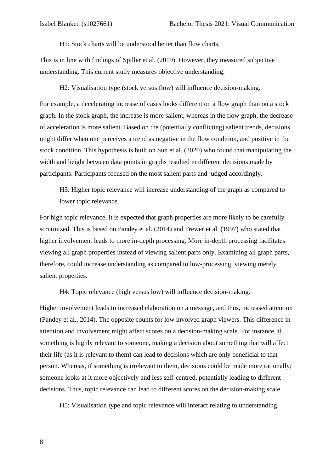H1: Stock charts will be understood better than flow charts.

This is in line with findings of Spiller et al. (2019). However, they measured subjective understanding. This current study measures objective understanding.

H2: Visualisation type (stock versus flow) will influence decision-making.

For example, a decelerating increase of cases looks different on a flow graph than on a stock graph. In the stock graph, the increase is more salient, whereas in the flow graph, the decrease of acceleration is more salient. Based on the (potentially conflicting) salient trends, decisions might differ when one perceives a trend as negative in the flow condition, and positive in the stock condition. This hypothesis is built on Sun et al. (2020) who found that manipulating the width and height between data points in graphs resulted in different decisions made by participants. Participants focused on the most salient parts and judged accordingly.

H3: Higher topic relevance will increase understanding of the graph as compared to lower topic relevance.

For high topic relevance, it is expected that graph properties are more likely to be carefully scrutinized. This is based on Pandey et al. (2014) and Frewer et al. (1997) who stated that higher involvement leads to more in-depth processing. More in-depth processing facilitates viewing all graph properties instead of viewing salient parts only. Examining all graph parts, therefore, could increase understanding as compared to low-processing, viewing merely salient properties.

H4: Topic relevance (high versus low) will influence decision-making.

Higher involvement leads to increased elaboration on a message, and thus, increased attention (Pandey et al., 2014). The opposite counts for low involved graph viewers. This difference in attention and involvement might affect scores on a decision-making scale. For instance, if something is highly relevant to someone, making a decision about something that will affect their life (as it is relevant to them) can lead to decisions which are only beneficial to that person. Whereas, if something is irrelevant to them, decisions could be made more rationally; someone looks at it more objectively and less self-centred, potentially leading to different decisions. Thus, topic relevance can lead to different scores on the decision-making scale.

H5: Visualisation type and topic relevance will interact relating to understanding.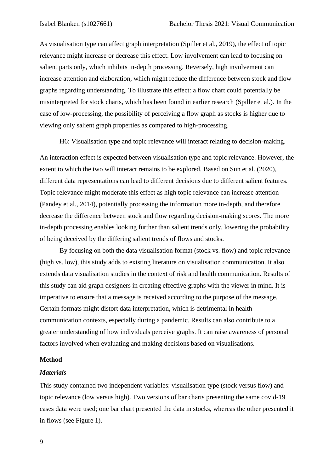As visualisation type can affect graph interpretation (Spiller et al., 2019), the effect of topic relevance might increase or decrease this effect. Low involvement can lead to focusing on salient parts only, which inhibits in-depth processing. Reversely, high involvement can increase attention and elaboration, which might reduce the difference between stock and flow graphs regarding understanding. To illustrate this effect: a flow chart could potentially be misinterpreted for stock charts, which has been found in earlier research (Spiller et al.). In the case of low-processing, the possibility of perceiving a flow graph as stocks is higher due to viewing only salient graph properties as compared to high-processing.

H6: Visualisation type and topic relevance will interact relating to decision-making. An interaction effect is expected between visualisation type and topic relevance. However, the extent to which the two will interact remains to be explored. Based on Sun et al. (2020), different data representations can lead to different decisions due to different salient features. Topic relevance might moderate this effect as high topic relevance can increase attention (Pandey et al., 2014), potentially processing the information more in-depth, and therefore decrease the difference between stock and flow regarding decision-making scores. The more in-depth processing enables looking further than salient trends only, lowering the probability of being deceived by the differing salient trends of flows and stocks.

By focusing on both the data visualisation format (stock vs. flow) and topic relevance (high vs. low), this study adds to existing literature on visualisation communication. It also extends data visualisation studies in the context of risk and health communication. Results of this study can aid graph designers in creating effective graphs with the viewer in mind. It is imperative to ensure that a message is received according to the purpose of the message. Certain formats might distort data interpretation, which is detrimental in health communication contexts, especially during a pandemic. Results can also contribute to a greater understanding of how individuals perceive graphs. It can raise awareness of personal factors involved when evaluating and making decisions based on visualisations.

#### **Method**

#### *Materials*

This study contained two independent variables: visualisation type (stock versus flow) and topic relevance (low versus high). Two versions of bar charts presenting the same covid-19 cases data were used; one bar chart presented the data in stocks, whereas the other presented it in flows (see Figure 1).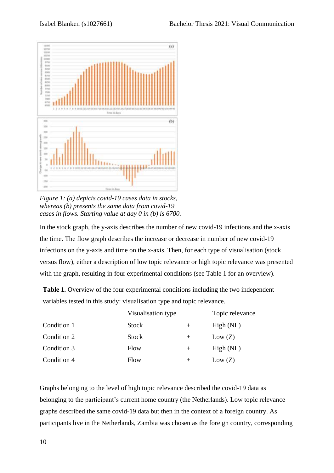

*Figure 1: (a) depicts covid-19 cases data in stocks, whereas (b) presents the same data from covid-19 cases in flows. Starting value at day 0 in (b) is 6700.* 

In the stock graph, the y-axis describes the number of new covid-19 infections and the x-axis the time. The flow graph describes the increase or decrease in number of new covid-19 infections on the y-axis and time on the x-axis. Then, for each type of visualisation (stock versus flow), either a description of low topic relevance or high topic relevance was presented with the graph, resulting in four experimental conditions (see Table 1 for an overview).

|             | Visualisation type |        | Topic relevance |
|-------------|--------------------|--------|-----------------|
| Condition 1 | <b>Stock</b>       | $^+$   | High (NL)       |
| Condition 2 | <b>Stock</b>       | $^{+}$ | Low (Z)         |
| Condition 3 | Flow               | $^+$   | High (NL)       |
| Condition 4 | Flow               | $^{+}$ | Low (Z)         |

**Table 1.** Overview of the four experimental conditions including the two independent variables tested in this study: visualisation type and topic relevance.

Graphs belonging to the level of high topic relevance described the covid-19 data as belonging to the participant's current home country (the Netherlands). Low topic relevance graphs described the same covid-19 data but then in the context of a foreign country. As participants live in the Netherlands, Zambia was chosen as the foreign country, corresponding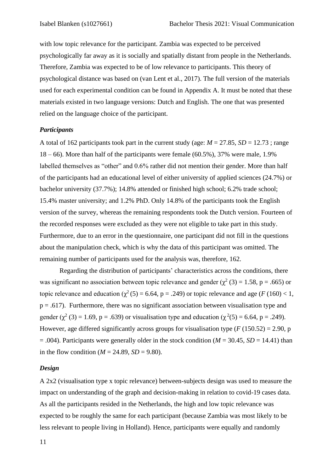with low topic relevance for the participant. Zambia was expected to be perceived psychologically far away as it is socially and spatially distant from people in the Netherlands. Therefore, Zambia was expected to be of low relevance to participants. This theory of psychological distance was based on (van Lent et al., 2017). The full version of the materials used for each experimental condition can be found in Appendix A. It must be noted that these materials existed in two language versions: Dutch and English. The one that was presented relied on the language choice of the participant.

#### *Participants*

A total of 162 participants took part in the current study (age:  $M = 27.85$ ,  $SD = 12.73$ ; range  $18 - 66$ ). More than half of the participants were female  $(60.5\%)$ , 37% were male, 1.9% labelled themselves as "other" and 0.6% rather did not mention their gender. More than half of the participants had an educational level of either university of applied sciences (24.7%) or bachelor university (37.7%); 14.8% attended or finished high school; 6.2% trade school; 15.4% master university; and 1.2% PhD. Only 14.8% of the participants took the English version of the survey, whereas the remaining respondents took the Dutch version. Fourteen of the recorded responses were excluded as they were not eligible to take part in this study. Furthermore, due to an error in the questionnaire, one participant did not fill in the questions about the manipulation check, which is why the data of this participant was omitted. The remaining number of participants used for the analysis was, therefore, 162.

Regarding the distribution of participants' characteristics across the conditions, there was significant no association between topic relevance and gender ( $\chi^2$  (3) = 1.58, p = .665) or topic relevance and education ( $\chi^2(5) = 6.64$ , p = .249) or topic relevance and age (*F* (160) < 1,  $p = .617$ ). Furthermore, there was no significant association between visualisation type and gender ( $\chi^2$  (3) = 1.69, p = .639) or visualisation type and education ( $\chi^2$ (5) = 6.64, p = .249). However, age differed significantly across groups for visualisation type  $(F (150.52) = 2.90, p)$  $= .004$ ). Participants were generally older in the stock condition ( $M = 30.45$ ,  $SD = 14.41$ ) than in the flow condition ( $M = 24.89$ ,  $SD = 9.80$ ).

#### *Design*

A 2x2 (visualisation type x topic relevance) between-subjects design was used to measure the impact on understanding of the graph and decision-making in relation to covid-19 cases data. As all the participants resided in the Netherlands, the high and low topic relevance was expected to be roughly the same for each participant (because Zambia was most likely to be less relevant to people living in Holland). Hence, participants were equally and randomly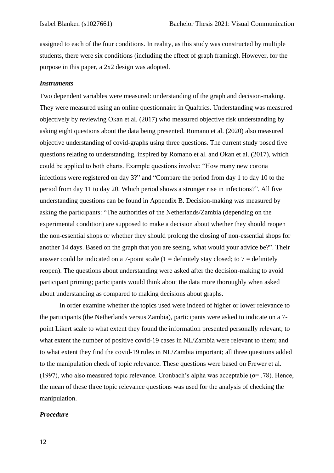assigned to each of the four conditions. In reality, as this study was constructed by multiple students, there were six conditions (including the effect of graph framing). However, for the purpose in this paper, a 2x2 design was adopted.

#### *Instruments*

Two dependent variables were measured: understanding of the graph and decision-making. They were measured using an online questionnaire in Qualtrics. Understanding was measured objectively by reviewing Okan et al. (2017) who measured objective risk understanding by asking eight questions about the data being presented. Romano et al. (2020) also measured objective understanding of covid-graphs using three questions. The current study posed five questions relating to understanding, inspired by Romano et al. and Okan et al. (2017), which could be applied to both charts. Example questions involve: "How many new corona infections were registered on day 3?" and "Compare the period from day 1 to day 10 to the period from day 11 to day 20. Which period shows a stronger rise in infections?". All five understanding questions can be found in Appendix B. Decision-making was measured by asking the participants: "The authorities of the Netherlands/Zambia (depending on the experimental condition) are supposed to make a decision about whether they should reopen the non-essential shops or whether they should prolong the closing of non-essential shops for another 14 days. Based on the graph that you are seeing, what would your advice be?". Their answer could be indicated on a 7-point scale  $(1 =$  definitely stay closed; to  $7 =$  definitely reopen). The questions about understanding were asked after the decision-making to avoid participant priming; participants would think about the data more thoroughly when asked about understanding as compared to making decisions about graphs.

In order examine whether the topics used were indeed of higher or lower relevance to the participants (the Netherlands versus Zambia), participants were asked to indicate on a 7 point Likert scale to what extent they found the information presented personally relevant; to what extent the number of positive covid-19 cases in NL/Zambia were relevant to them; and to what extent they find the covid-19 rules in NL/Zambia important; all three questions added to the manipulation check of topic relevance. These questions were based on Frewer et al. (1997), who also measured topic relevance. Cronbach's alpha was acceptable ( $\alpha$ = .78). Hence, the mean of these three topic relevance questions was used for the analysis of checking the manipulation.

#### *Procedure*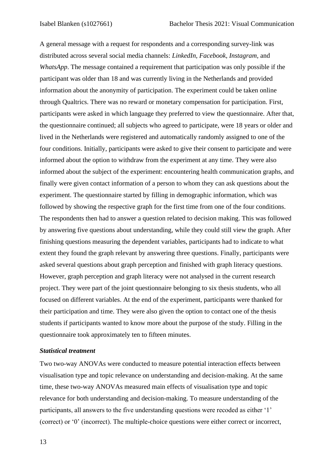A general message with a request for respondents and a corresponding survey-link was distributed across several social media channels: *LinkedIn, Facebook, Instagram,* and *WhatsApp*. The message contained a requirement that participation was only possible if the participant was older than 18 and was currently living in the Netherlands and provided information about the anonymity of participation. The experiment could be taken online through Qualtrics. There was no reward or monetary compensation for participation. First, participants were asked in which language they preferred to view the questionnaire. After that, the questionnaire continued; all subjects who agreed to participate, were 18 years or older and lived in the Netherlands were registered and automatically randomly assigned to one of the four conditions. Initially, participants were asked to give their consent to participate and were informed about the option to withdraw from the experiment at any time. They were also informed about the subject of the experiment: encountering health communication graphs, and finally were given contact information of a person to whom they can ask questions about the experiment. The questionnaire started by filling in demographic information, which was followed by showing the respective graph for the first time from one of the four conditions. The respondents then had to answer a question related to decision making. This was followed by answering five questions about understanding, while they could still view the graph. After finishing questions measuring the dependent variables, participants had to indicate to what extent they found the graph relevant by answering three questions. Finally, participants were asked several questions about graph perception and finished with graph literacy questions. However, graph perception and graph literacy were not analysed in the current research project. They were part of the joint questionnaire belonging to six thesis students, who all focused on different variables. At the end of the experiment, participants were thanked for their participation and time. They were also given the option to contact one of the thesis students if participants wanted to know more about the purpose of the study. Filling in the questionnaire took approximately ten to fifteen minutes.

#### *Statistical treatment*

Two two-way ANOVAs were conducted to measure potential interaction effects between visualisation type and topic relevance on understanding and decision-making. At the same time, these two-way ANOVAs measured main effects of visualisation type and topic relevance for both understanding and decision-making. To measure understanding of the participants, all answers to the five understanding questions were recoded as either '1' (correct) or '0' (incorrect). The multiple-choice questions were either correct or incorrect,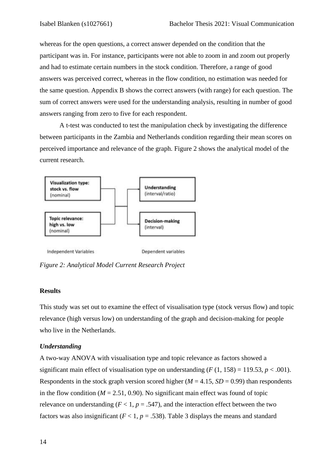whereas for the open questions, a correct answer depended on the condition that the participant was in. For instance, participants were not able to zoom in and zoom out properly and had to estimate certain numbers in the stock condition. Therefore, a range of good answers was perceived correct, whereas in the flow condition, no estimation was needed for the same question. Appendix B shows the correct answers (with range) for each question. The sum of correct answers were used for the understanding analysis, resulting in number of good answers ranging from zero to five for each respondent.

A t-test was conducted to test the manipulation check by investigating the difference between participants in the Zambia and Netherlands condition regarding their mean scores on perceived importance and relevance of the graph. Figure 2 shows the analytical model of the current research.



Independent Variables

Dependent variables

*Figure 2: Analytical Model Current Research Project*

### **Results**

This study was set out to examine the effect of visualisation type (stock versus flow) and topic relevance (high versus low) on understanding of the graph and decision-making for people who live in the Netherlands.

## *Understanding*

A two-way ANOVA with visualisation type and topic relevance as factors showed a significant main effect of visualisation type on understanding  $(F(1, 158) = 119.53, p < .001)$ . Respondents in the stock graph version scored higher ( $M = 4.15$ ,  $SD = 0.99$ ) than respondents in the flow condition ( $M = 2.51$ , 0.90). No significant main effect was found of topic relevance on understanding  $(F < 1, p = .547)$ , and the interaction effect between the two factors was also insignificant ( $F < 1$ ,  $p = .538$ ). Table 3 displays the means and standard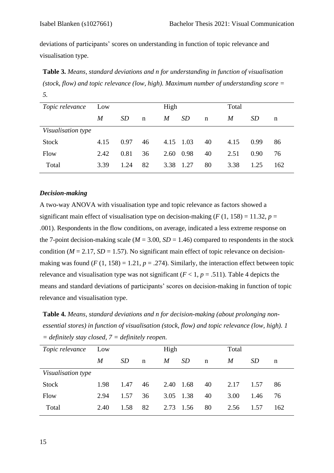deviations of participants' scores on understanding in function of topic relevance and visualisation type.

**Table 3.** *Means, standard deviations and n for understanding in function of visualisation (stock, flow) and topic relevance (low, high). Maximum number of understanding score = 5.*

| Topic relevance    | Low  |           |             | High |             |             | Total |                 |     |
|--------------------|------|-----------|-------------|------|-------------|-------------|-------|-----------------|-----|
|                    | M    | <i>SD</i> | $\mathbf n$ | M    | <i>SD</i>   | $\mathbf n$ | M     | SD <sub>-</sub> | n   |
| Visualisation type |      |           |             |      |             |             |       |                 |     |
| <b>Stock</b>       | 4.15 | 0.97      | 46          |      | $4.15$ 1.03 | 40          | 4.15  | 0.99            | 86  |
| Flow               | 2.42 | 0.81      | 36          |      | 2.60 0.98   | 40          | 2.51  | 0.90            | 76  |
| Total              | 3.39 | 1.24      | 82          | 3.38 | 1.27        | 80          | 3.38  | 1.25            | 162 |

#### *Decision-making*

A two-way ANOVA with visualisation type and topic relevance as factors showed a significant main effect of visualisation type on decision-making ( $F(1, 158) = 11.32$ ,  $p =$ .001). Respondents in the flow conditions, on average, indicated a less extreme response on the 7-point decision-making scale ( $M = 3.00$ ,  $SD = 1.46$ ) compared to respondents in the stock condition ( $M = 2.17$ ,  $SD = 1.57$ ). No significant main effect of topic relevance on decisionmaking was found  $(F (1, 158) = 1.21, p = .274)$ . Similarly, the interaction effect between topic relevance and visualisation type was not significant  $(F < 1, p = .511)$ . Table 4 depicts the means and standard deviations of participants' scores on decision-making in function of topic relevance and visualisation type.

**Table 4.** *Means, standard deviations and n for decision-making (about prolonging nonessential stores) in function of visualisation (stock, flow) and topic relevance (low, high). 1 = definitely stay closed, 7 = definitely reopen.* 

| Topic relevance    | Low  |           |             | High      |           |             | Total |           |     |
|--------------------|------|-----------|-------------|-----------|-----------|-------------|-------|-----------|-----|
|                    | M    | <i>SD</i> | $\mathbf n$ | M         | <i>SD</i> | $\mathbf n$ | M     | <i>SD</i> | n   |
| Visualisation type |      |           |             |           |           |             |       |           |     |
| <b>Stock</b>       | 1.98 | 1.47      | 46          | 2.40      | 1.68      | 40          | 2.17  | 1.57      | 86  |
| Flow               | 2.94 | 1.57      | 36          | 3.05 1.38 |           | 40          | 3.00  | 1.46      | 76  |
| Total              | 2.40 | 1.58      | 82          | 2.73      | 1.56      | 80          | 2.56  | 1.57      | 162 |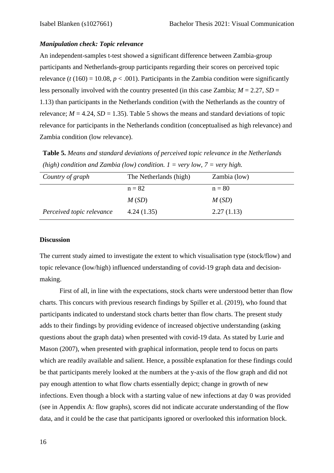## *Manipulation check: Topic relevance*

An independent-samples t-test showed a significant difference between Zambia-group participants and Netherlands-group participants regarding their scores on perceived topic relevance ( $t(160) = 10.08$ ,  $p < .001$ ). Participants in the Zambia condition were significantly less personally involved with the country presented (in this case Zambia;  $M = 2.27$ ,  $SD =$ 1.13) than participants in the Netherlands condition (with the Netherlands as the country of relevance;  $M = 4.24$ ,  $SD = 1.35$ ). Table 5 shows the means and standard deviations of topic relevance for participants in the Netherlands condition (conceptualised as high relevance) and Zambia condition (low relevance).

**Table 5.** *Means and standard deviations of perceived topic relevance in the Netherlands (high) condition and Zambia (low) condition. 1 = very low, 7 = very high.*

| Country of graph          | The Netherlands (high) | Zambia (low) |
|---------------------------|------------------------|--------------|
|                           | $n = 82$               | $n = 80$     |
|                           | M(SD)                  | M(SD)        |
| Perceived topic relevance | 4.24(1.35)             | 2.27(1.13)   |

## **Discussion**

The current study aimed to investigate the extent to which visualisation type (stock/flow) and topic relevance (low/high) influenced understanding of covid-19 graph data and decisionmaking.

First of all, in line with the expectations, stock charts were understood better than flow charts. This concurs with previous research findings by Spiller et al. (2019), who found that participants indicated to understand stock charts better than flow charts. The present study adds to their findings by providing evidence of increased objective understanding (asking questions about the graph data) when presented with covid-19 data. As stated by Lurie and Mason (2007), when presented with graphical information, people tend to focus on parts which are readily available and salient. Hence, a possible explanation for these findings could be that participants merely looked at the numbers at the y-axis of the flow graph and did not pay enough attention to what flow charts essentially depict; change in growth of new infections. Even though a block with a starting value of new infections at day 0 was provided (see in Appendix A: flow graphs), scores did not indicate accurate understanding of the flow data, and it could be the case that participants ignored or overlooked this information block.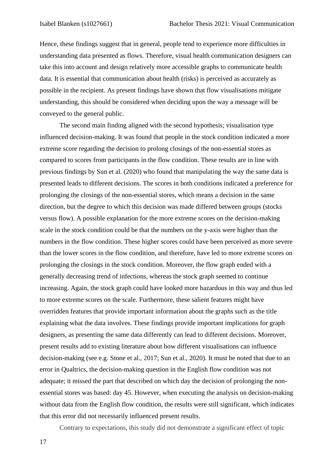Hence, these findings suggest that in general, people tend to experience more difficulties in understanding data presented as flows. Therefore, visual health communication designers can take this into account and design relatively more accessible graphs to communicate health data. It is essential that communication about health (risks) is perceived as accurately as possible in the recipient. As present findings have shown that flow visualisations mitigate understanding, this should be considered when deciding upon the way a message will be conveyed to the general public.

The second main finding aligned with the second hypothesis; visualisation type influenced decision-making. It was found that people in the stock condition indicated a more extreme score regarding the decision to prolong closings of the non-essential stores as compared to scores from participants in the flow condition. These results are in line with previous findings by Sun et al. (2020) who found that manipulating the way the same data is presented leads to different decisions. The scores in both conditions indicated a preference for prolonging the closings of the non-essential stores, which means a decision in the same direction, but the degree to which this decision was made differed between groups (stocks versus flow). A possible explanation for the more extreme scores on the decision-making scale in the stock condition could be that the numbers on the y-axis were higher than the numbers in the flow condition. These higher scores could have been perceived as more severe than the lower scores in the flow condition, and therefore, have led to more extreme scores on prolonging the closings in the stock condition. Moreover, the flow graph ended with a generally decreasing trend of infections, whereas the stock graph seemed to continue increasing. Again, the stock graph could have looked more hazardous in this way and thus led to more extreme scores on the scale. Furthermore, these salient features might have overridden features that provide important information about the graphs such as the title explaining what the data involves. These findings provide important implications for graph designers, as presenting the same data differently can lead to different decisions. Moreover, present results add to existing literature about how different visualisations can influence decision-making (see e.g. Stone et al., 2017; Sun et al., 2020). It must be noted that due to an error in Qualtrics, the decision-making question in the English flow condition was not adequate; it missed the part that described on which day the decision of prolonging the nonessential stores was based: day 45. However, when executing the analysis on decision-making without data from the English flow condition, the results were still significant, which indicates that this error did not necessarily influenced present results.

Contrary to expectations, this study did not demonstrate a significant effect of topic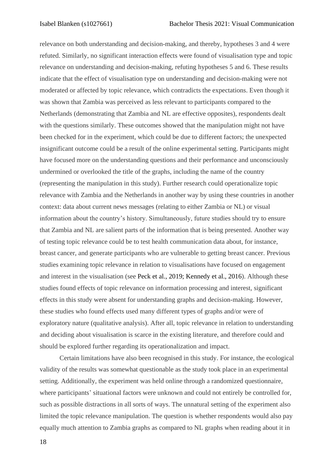relevance on both understanding and decision-making, and thereby, hypotheses 3 and 4 were refuted. Similarly, no significant interaction effects were found of visualisation type and topic relevance on understanding and decision-making, refuting hypotheses 5 and 6. These results indicate that the effect of visualisation type on understanding and decision-making were not moderated or affected by topic relevance, which contradicts the expectations. Even though it was shown that Zambia was perceived as less relevant to participants compared to the Netherlands (demonstrating that Zambia and NL are effective opposites), respondents dealt with the questions similarly. These outcomes showed that the manipulation might not have been checked for in the experiment, which could be due to different factors; the unexpected insignificant outcome could be a result of the online experimental setting. Participants might have focused more on the understanding questions and their performance and unconsciously undermined or overlooked the title of the graphs, including the name of the country (representing the manipulation in this study). Further research could operationalize topic relevance with Zambia and the Netherlands in another way by using these countries in another context: data about current news messages (relating to either Zambia or NL) or visual information about the country's history. Simultaneously, future studies should try to ensure that Zambia and NL are salient parts of the information that is being presented. Another way of testing topic relevance could be to test health communication data about, for instance, breast cancer, and generate participants who are vulnerable to getting breast cancer. Previous studies examining topic relevance in relation to visualisations have focused on engagement and interest in the visualisation (see Peck et al., 2019; Kennedy et al., 2016). Although these studies found effects of topic relevance on information processing and interest, significant effects in this study were absent for understanding graphs and decision-making. However, these studies who found effects used many different types of graphs and/or were of exploratory nature (qualitative analysis). After all, topic relevance in relation to understanding and deciding about visualisation is scarce in the existing literature, and therefore could and should be explored further regarding its operationalization and impact.

Certain limitations have also been recognised in this study. For instance, the ecological validity of the results was somewhat questionable as the study took place in an experimental setting. Additionally, the experiment was held online through a randomized questionnaire, where participants' situational factors were unknown and could not entirely be controlled for, such as possible distractions in all sorts of ways. The unnatural setting of the experiment also limited the topic relevance manipulation. The question is whether respondents would also pay equally much attention to Zambia graphs as compared to NL graphs when reading about it in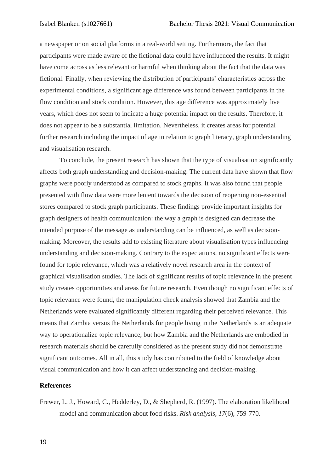a newspaper or on social platforms in a real-world setting. Furthermore, the fact that participants were made aware of the fictional data could have influenced the results. It might have come across as less relevant or harmful when thinking about the fact that the data was fictional. Finally, when reviewing the distribution of participants' characteristics across the experimental conditions, a significant age difference was found between participants in the flow condition and stock condition. However, this age difference was approximately five years, which does not seem to indicate a huge potential impact on the results. Therefore, it does not appear to be a substantial limitation. Nevertheless, it creates areas for potential further research including the impact of age in relation to graph literacy, graph understanding and visualisation research.

To conclude, the present research has shown that the type of visualisation significantly affects both graph understanding and decision-making. The current data have shown that flow graphs were poorly understood as compared to stock graphs. It was also found that people presented with flow data were more lenient towards the decision of reopening non-essential stores compared to stock graph participants. These findings provide important insights for graph designers of health communication: the way a graph is designed can decrease the intended purpose of the message as understanding can be influenced, as well as decisionmaking. Moreover, the results add to existing literature about visualisation types influencing understanding and decision-making. Contrary to the expectations, no significant effects were found for topic relevance, which was a relatively novel research area in the context of graphical visualisation studies. The lack of significant results of topic relevance in the present study creates opportunities and areas for future research. Even though no significant effects of topic relevance were found, the manipulation check analysis showed that Zambia and the Netherlands were evaluated significantly different regarding their perceived relevance. This means that Zambia versus the Netherlands for people living in the Netherlands is an adequate way to operationalize topic relevance, but how Zambia and the Netherlands are embodied in research materials should be carefully considered as the present study did not demonstrate significant outcomes. All in all, this study has contributed to the field of knowledge about visual communication and how it can affect understanding and decision-making.

## **References**

Frewer, L. J., Howard, C., Hedderley, D., & Shepherd, R. (1997). The elaboration likelihood model and communication about food risks. *Risk analysis*, *17*(6), 759-770.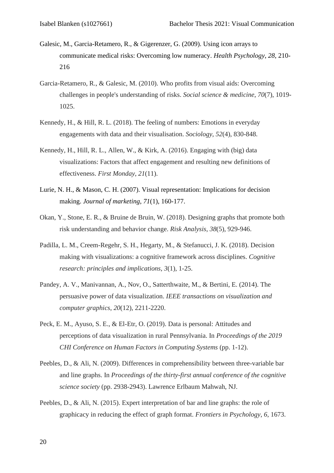- Galesic, M., Garcia-Retamero, R., & Gigerenzer, G. (2009). Using icon arrays to communicate medical risks: Overcoming low numeracy. *Health Psychology*, *28*, 210- 216
- Garcia-Retamero, R., & Galesic, M. (2010). Who profits from visual aids: Overcoming challenges in people's understanding of risks. *Social science & medicine*, *70*(7), 1019- 1025.
- Kennedy, H., & Hill, R. L. (2018). The feeling of numbers: Emotions in everyday engagements with data and their visualisation. *Sociology*, *52*(4), 830-848.
- Kennedy, H., Hill, R. L., Allen, W., & Kirk, A. (2016). Engaging with (big) data visualizations: Factors that affect engagement and resulting new definitions of effectiveness. *First Monday*, *21*(11).
- Lurie, N. H., & Mason, C. H. (2007). Visual representation: Implications for decision making. *Journal of marketing*, *71*(1), 160-177.
- Okan, Y., Stone, E. R., & Bruine de Bruin, W. (2018). Designing graphs that promote both risk understanding and behavior change. *Risk Analysis*, *38*(5), 929-946.
- Padilla, L. M., Creem-Regehr, S. H., Hegarty, M., & Stefanucci, J. K. (2018). Decision making with visualizations: a cognitive framework across disciplines. *Cognitive research: principles and implications*, *3*(1), 1-25.
- Pandey, A. V., Manivannan, A., Nov, O., Satterthwaite, M., & Bertini, E. (2014). The persuasive power of data visualization. *IEEE transactions on visualization and computer graphics*, *20*(12), 2211-2220.
- Peck, E. M., Ayuso, S. E., & El-Etr, O. (2019). Data is personal: Attitudes and perceptions of data visualization in rural Pennsylvania. In *Proceedings of the 2019 CHI Conference on Human Factors in Computing Systems* (pp. 1-12).
- Peebles, D., & Ali, N. (2009). Differences in comprehensibility between three-variable bar and line graphs. In *Proceedings of the thirty-first annual conference of the cognitive science society* (pp. 2938-2943). Lawrence Erlbaum Mahwah, NJ.
- Peebles, D., & Ali, N. (2015). Expert interpretation of bar and line graphs: the role of graphicacy in reducing the effect of graph format. *Frontiers in Psychology*, *6*, 1673.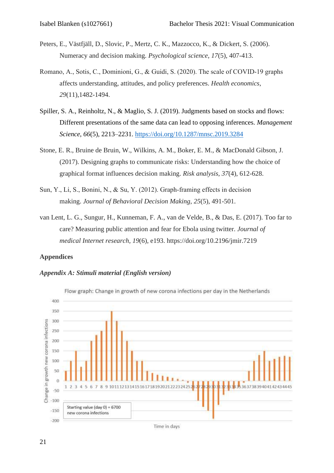- Peters, E., Västfjäll, D., Slovic, P., Mertz, C. K., Mazzocco, K., & Dickert, S. (2006). Numeracy and decision making. *Psychological science*, *17*(5), 407-413.
- Romano, A., Sotis, C., Dominioni, G., & Guidi, S. (2020). The scale of COVID‐19 graphs affects understanding, attitudes, and policy preferences. *Health economics*, *29*(11),1482-1494.
- Spiller, S. A., Reinholtz, N., & Maglio, S. J. (2019). Judgments based on stocks and flows: Different presentations of the same data can lead to opposing inferences. *Management Science*, *66*(5), 2213–2231.<https://doi.org/10.1287/mnsc.2019.3284>
- Stone, E. R., Bruine de Bruin, W., Wilkins, A. M., Boker, E. M., & MacDonald Gibson, J. (2017). Designing graphs to communicate risks: Understanding how the choice of graphical format influences decision making. *Risk analysis*, *37*(4), 612-628.
- Sun, Y., Li, S., Bonini, N., & Su, Y. (2012). Graph‐framing effects in decision making. *Journal of Behavioral Decision Making*, *25*(5), 491-501.
- van Lent, L. G., Sungur, H., Kunneman, F. A., van de Velde, B., & Das, E. (2017). Too far to care? Measuring public attention and fear for Ebola using twitter. *Journal of medical Internet research*, *19*(6), e193. https://doi.org/10.2196/jmir.7219

## **Appendices**

### *Appendix A: Stimuli material (English version)*



Time in days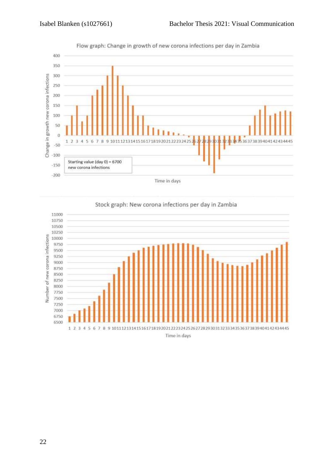

Flow graph: Change in growth of new corona infections per day in Zambia



Stock graph: New corona infections per day in Zambia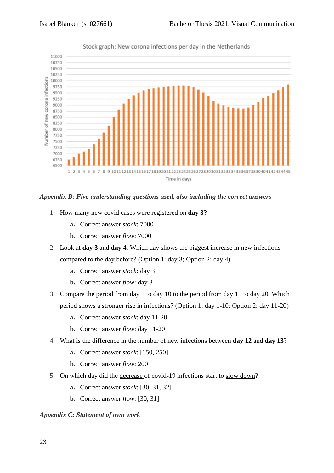

Stock graph: New corona infections per day in the Netherlands

## *Appendix B: Five understanding questions used, also including the correct answers*

- 1. How many new covid cases were registered on **day 3?**
	- **a.** Correct answer *stock*: 7000
	- **b.** Correct answer *flow*: 7000
- 2. Look at **day 3** and **day 4**. Which day shows the biggest increase in new infections compared to the day before? (Option 1: day 3; Option 2: day 4)
	- **a.** Correct answer *stock*: day 3
	- **b.** Correct answer *flow*: day 3
- 3. Compare the period from day 1 to day 10 to the period from day 11 to day 20. Which period shows a stronger rise in infections? (Option 1: day 1-10; Option 2: day 11-20)
	- **a.** Correct answer *stock*: day 11-20
	- **b.** Correct answer *flow*: day 11-20
- 4. What is the difference in the number of new infections between **day 12** and **day 13**?
	- **a.** Correct answer *stock*: [150, 250]
	- **b.** Correct answer *flow*: 200
- 5. On which day did the decrease of covid-19 infections start to slow down?
	- **a.** Correct answer *stock*: [30, 31, 32]
	- **b.** Correct answer *flow*: [30, 31]

*Appendix C: Statement of own work*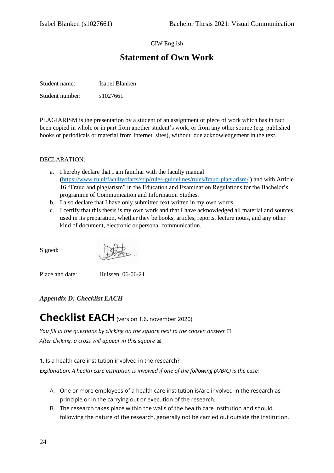## CIW English

# **Statement of Own Work**

Student name: Isabel Blanken Student number:  $s1027661$ 

PLAGIARISM is the presentation by a student of an assignment or piece of work which has in fact been copied in whole or in part from another student's work, or from any other source (e.g. published books or periodicals or material from Internet sites), without due acknowledgement in the text.

### DECLARATION:

- a. I hereby declare that I am familiar with the faculty manual [\(https://www.ru.nl/facultyofarts/stip/rules-guidelines/rules/fraud-plagiarism/](https://www.ru.nl/facultyofarts/stip/rules-guidelines/rules/fraud-plagiarism/) ) and with Article 16 "Fraud and plagiarism" in the Education and Examination Regulations for the Bachelor's programme of Communication and Information Studies.
- b. I also declare that I have only submitted text written in my own words.
- c. I certify that this thesis is my own work and that I have acknowledged all material and sources used in its preparation, whether they be books, articles, reports, lecture notes, and any other kind of document, electronic or personal communication.

Signed:

Place and date: Huissen, 06-06-21

*Appendix D: Checklist EACH*

# **Checklist EACH**(version 1.6, november 2020)

*You fill in the questions by clicking on the square next to the chosen answer* □ *After clicking, a cross will appear in this square* ⊠

1. Is a health care institution involved in the research?

*Explanation: A health care institution is involved if one of the following (A/B/C) is the case:*

- A. One or more employees of a health care institution is/are involved in the research as principle or in the carrying out or execution of the research.
- B. The research takes place within the walls of the health care institution and should, following the nature of the research, generally not be carried out outside the institution.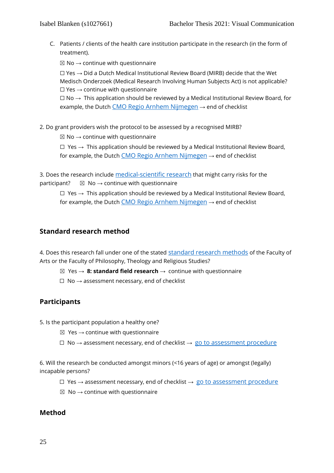C. Patients / clients of the health care institution participate in the research (in the form of treatment).

 $\boxtimes$  No  $\rightarrow$  continue with questionnaire

 $\Box$  Yes  $\rightarrow$  Did a Dutch Medical Institutional Review Board (MIRB) decide that the Wet Medisch Onderzoek (Medical Research Involving Human Subjects Act) is not applicable?  $\Box$  Yes  $\rightarrow$  continue with questionnaire

 $\Box$  No  $\rightarrow$  This application should be reviewed by a Medical Institutional Review Board, for example, the Dutch [CMO Regio Arnhem Nijmegen](https://www.radboudumc.nl/over-het-radboudumc/kwaliteit-en-veiligheid/commissie-mensgebonden-onderzoek/commissie-mensgebonden-onderzoek)  $\rightarrow$  end of checklist

2. Do grant providers wish the protocol to be assessed by a recognised MIRB?

 $\boxtimes$  No  $\rightarrow$  continue with questionnaire

 $\Box$  Yes  $\rightarrow$  This application should be reviewed by a Medical Institutional Review Board, for example, the Dutch  $CMO$  Regio Arnhem Nijmegen  $\rightarrow$  end of checklist

3. Does the research include [medical-scientific research](https://www.radboudumc.nl/getmedia/0b5ede41-e1b1-4cb8-b65b-2de50588d837/WMO-reikwijdte_niet-WMO.aspx) that might carry risks for the participant?  $\boxtimes$  No  $\rightarrow$  continue with questionnaire

 $\Box$  Yes  $\rightarrow$  This application should be reviewed by a Medical Institutional Review Board, for example, the Dutch [CMO Regio Arnhem Nijmegen](https://www.radboudumc.nl/over-het-radboudumc/kwaliteit-en-veiligheid/commissie-mensgebonden-onderzoek/commissie-mensgebonden-onderzoek)  $\rightarrow$  end of checklist

## **Standard research method**

4. Does this research fall under one of the stated [standard research methods](https://etc.science.ru.nl/downloads/standard_research_methods_v1.2.pdf) of the Faculty of Arts or the Faculty of Philosophy, Theology and Religious Studies?

☒ Yes → **8: standard field research** → continue with questionnaire

 $\Box$  No  $\rightarrow$  assessment necessary, end of checklist

## **Participants**

- 5. Is the participant population a healthy one?
	- $\boxtimes$  Yes  $\rightarrow$  continue with questionnaire
	- $\Box$  No  $\rightarrow$  assessment necessary, end of checklist  $\rightarrow$  [go to assessment procedure](https://www.radboudnet.nl/facultyofarts/research/ethics-assessment-committee-humanities/the-procedure/assessment-procedure-for-research-projects/)

6. Will the research be conducted amongst minors (<16 years of age) or amongst (legally) incapable persons?

- $□$  Yes  $→$  assessment necessary, end of checklist  $→$  [go to assessment procedure](https://www.radboudnet.nl/facultyofarts/research/ethics-assessment-committee-humanities/the-procedure/assessment-procedure-for-research-projects/)
- $\boxtimes$  No  $\rightarrow$  continue with questionnaire

## **Method**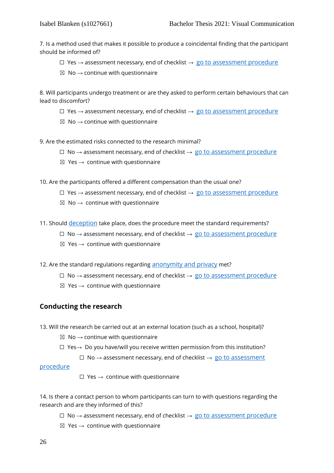7. Is a method used that makes it possible to produce a coincidental finding that the participant should be informed of?

- $□$  Yes  $→$  assessment necessary, end of checklist  $→$  [go to assessment procedure](https://www.radboudnet.nl/facultyofarts/research/ethics-assessment-committee-humanities/the-procedure/assessment-procedure-for-research-projects/)
- $\boxtimes$  No  $\rightarrow$  continue with questionnaire

8. Will participants undergo treatment or are they asked to perform certain behaviours that can lead to discomfort?

- $□$  Yes  $→$  assessment necessary, end of checklist  $→$  [go to assessment procedure](https://www.radboudnet.nl/facultyofarts/research/ethics-assessment-committee-humanities/the-procedure/assessment-procedure-for-research-projects/)
- $\boxtimes$  No  $\rightarrow$  continue with questionnaire

9. Are the estimated risks connected to the research minimal?

- $\Box$  No  $\rightarrow$  assessment necessary, end of checklist  $\rightarrow$  [go to assessment procedure](https://www.radboudnet.nl/facultyofarts/research/ethics-assessment-committee-humanities/the-procedure/assessment-procedure-for-research-projects/)
- $\boxtimes$  Yes  $\rightarrow$  continue with questionnaire

10. Are the participants offered a different compensation than the usual one?

- $□$  Yes  $→$  assessment necessary, end of checklist  $→$  [go to assessment procedure](https://www.radboudnet.nl/facultyofarts/research/ethics-assessment-committee-humanities/the-procedure/assessment-procedure-for-research-projects/)
- $\boxtimes$  No  $\rightarrow$  continue with questionnaire
- 11. Should [deception](https://www.radboudnet.nl/facultyofarts/research/ethics-assessment-committee-humanities/protocol/protocol-ethics-assessment-research/#H39) take place, does the procedure meet the standard requirements?
	- $□$  No → assessment necessary, end of checklist  $→$  [go to assessment procedure](https://www.radboudnet.nl/facultyofarts/research/ethics-assessment-committee-humanities/the-procedure/assessment-procedure-for-research-projects/)
	- $\boxtimes$  Yes  $\rightarrow$  continue with questionnaire
- 12. Are the standard regulations regarding [anonymity and privacy](https://www.radboudnet.nl/facultyofarts/research/ethics-assessment-committee-humanities/protocol/protocol-ethics-assessment-research/#H38) met?
	- $\Box$  No  $\rightarrow$  assessment necessary, end of checklist  $\rightarrow$  [go to assessment procedure](https://www.radboudnet.nl/facultyofarts/research/ethics-assessment-committee-humanities/the-procedure/assessment-procedure-for-research-projects/)
	- $\boxtimes$  Yes  $\rightarrow$  continue with questionnaire

## **Conducting the research**

- 13. Will the research be carried out at an external location (such as a school, hospital)?
	- $\boxtimes$  No  $\rightarrow$  continue with questionnaire
	- ☐ Yes→ Do you have/will you receive written permission from this institution?
		- $\Box$  No  $\rightarrow$  assessment necessary, end of checklist  $\rightarrow$  go to assessment

[procedure](https://www.radboudnet.nl/facultyofarts/research/ethics-assessment-committee-humanities/the-procedure/assessment-procedure-for-research-projects/)

 $\Box$  Yes  $\rightarrow$  continue with questionnaire

14. Is there a contact person to whom participants can turn to with questions regarding the research and are they informed of this?

- $\Box$  No  $\rightarrow$  assessment necessary, end of checklist  $\rightarrow$  [go to assessment procedure](https://www.radboudnet.nl/facultyofarts/research/ethics-assessment-committee-humanities/the-procedure/assessment-procedure-for-research-projects/)
- $\boxtimes$  Yes  $\rightarrow$  continue with questionnaire